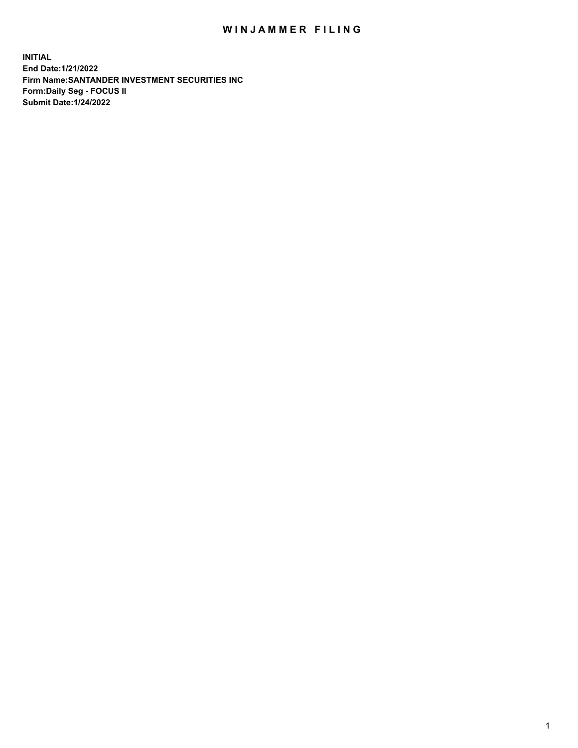## WIN JAMMER FILING

**INITIAL End Date:1/21/2022 Firm Name:SANTANDER INVESTMENT SECURITIES INC Form:Daily Seg - FOCUS II Submit Date:1/24/2022**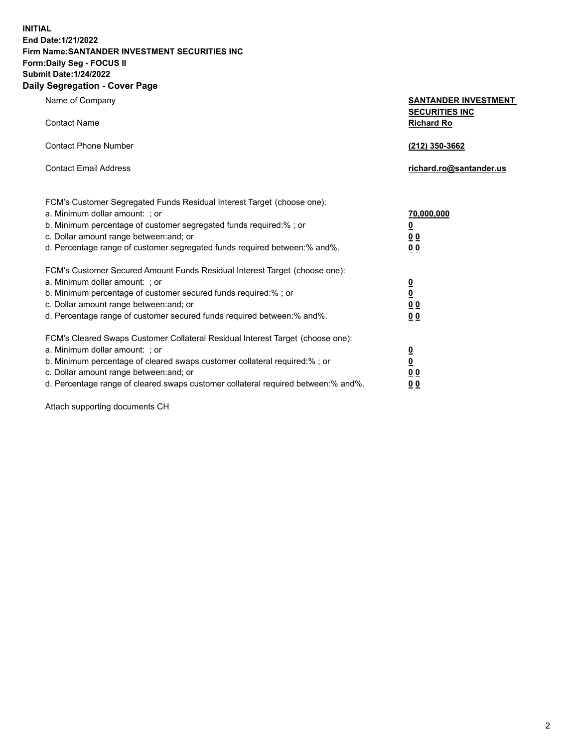**INITIAL End Date:1/21/2022 Firm Name:SANTANDER INVESTMENT SECURITIES INC Form:Daily Seg - FOCUS II Submit Date:1/24/2022 Daily Segregation - Cover Page**

Name of Company **SANTANDER INVESTMENT SECURITIES INC** Contact Name **Richard Ro** Contact Phone Number **(212) 350-3662** Contact Email Address **richard.ro@santander.us** FCM's Customer Segregated Funds Residual Interest Target (choose one): a. Minimum dollar amount: ; or **70,000,000** b. Minimum percentage of customer segregated funds required:% ; or **0** c. Dollar amount range between:and; or **0 0** d. Percentage range of customer segregated funds required between:% and%. **0 0** FCM's Customer Secured Amount Funds Residual Interest Target (choose one): a. Minimum dollar amount: ; or **0** b. Minimum percentage of customer secured funds required:% ; or **0** c. Dollar amount range between:and; or **0 0** d. Percentage range of customer secured funds required between:% and%. **0 0** FCM's Cleared Swaps Customer Collateral Residual Interest Target (choose one): a. Minimum dollar amount: ; or **0** b. Minimum percentage of cleared swaps customer collateral required:% ; or **0** c. Dollar amount range between:and; or **0 0**

d. Percentage range of cleared swaps customer collateral required between:% and%. **0 0**

Attach supporting documents CH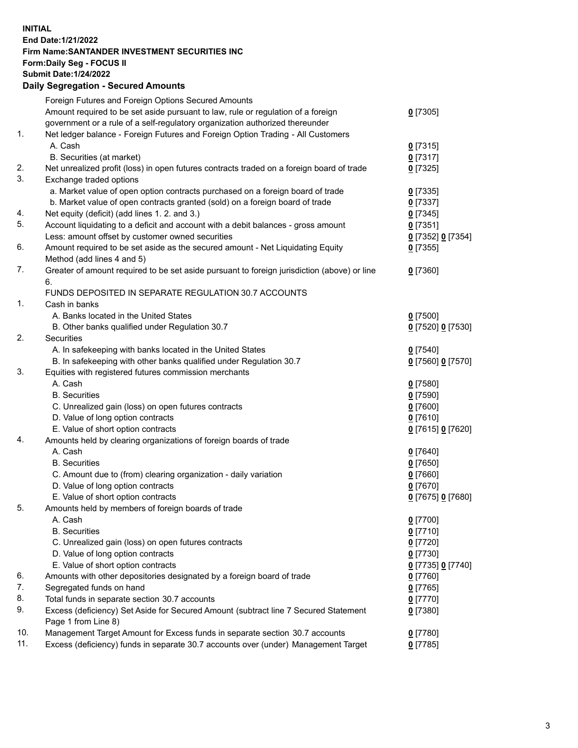## **INITIAL End Date:1/21/2022 Firm Name:SANTANDER INVESTMENT SECURITIES INC Form:Daily Seg - FOCUS II Submit Date:1/24/2022 Daily Segregation - Secured Amounts**

|     | Foreign Futures and Foreign Options Secured Amounts                                         |                   |
|-----|---------------------------------------------------------------------------------------------|-------------------|
|     | Amount required to be set aside pursuant to law, rule or regulation of a foreign            | $0$ [7305]        |
|     | government or a rule of a self-regulatory organization authorized thereunder                |                   |
| 1.  | Net ledger balance - Foreign Futures and Foreign Option Trading - All Customers             |                   |
|     | A. Cash                                                                                     | $0$ [7315]        |
|     | B. Securities (at market)                                                                   | $0$ [7317]        |
| 2.  | Net unrealized profit (loss) in open futures contracts traded on a foreign board of trade   | $0$ [7325]        |
| 3.  | Exchange traded options                                                                     |                   |
|     | a. Market value of open option contracts purchased on a foreign board of trade              | $0$ [7335]        |
|     | b. Market value of open contracts granted (sold) on a foreign board of trade                | $0$ [7337]        |
| 4.  | Net equity (deficit) (add lines 1. 2. and 3.)                                               | $0$ [7345]        |
| 5.  | Account liquidating to a deficit and account with a debit balances - gross amount           | $0$ [7351]        |
|     | Less: amount offset by customer owned securities                                            | 0 [7352] 0 [7354] |
| 6.  | Amount required to be set aside as the secured amount - Net Liquidating Equity              | $0$ [7355]        |
|     | Method (add lines 4 and 5)                                                                  |                   |
| 7.  | Greater of amount required to be set aside pursuant to foreign jurisdiction (above) or line | $0$ [7360]        |
|     | 6.                                                                                          |                   |
|     | FUNDS DEPOSITED IN SEPARATE REGULATION 30.7 ACCOUNTS                                        |                   |
| 1.  | Cash in banks                                                                               |                   |
|     | A. Banks located in the United States                                                       | $0$ [7500]        |
|     | B. Other banks qualified under Regulation 30.7                                              | 0 [7520] 0 [7530] |
| 2.  | Securities                                                                                  |                   |
|     | A. In safekeeping with banks located in the United States                                   | $0$ [7540]        |
|     | B. In safekeeping with other banks qualified under Regulation 30.7                          | 0 [7560] 0 [7570] |
| 3.  | Equities with registered futures commission merchants                                       |                   |
|     | A. Cash                                                                                     | $0$ [7580]        |
|     | <b>B.</b> Securities                                                                        | $0$ [7590]        |
|     | C. Unrealized gain (loss) on open futures contracts                                         | $0$ [7600]        |
|     | D. Value of long option contracts                                                           | $0$ [7610]        |
|     | E. Value of short option contracts                                                          | 0 [7615] 0 [7620] |
| 4.  | Amounts held by clearing organizations of foreign boards of trade                           |                   |
|     | A. Cash                                                                                     | $0$ [7640]        |
|     | <b>B.</b> Securities                                                                        | $0$ [7650]        |
|     | C. Amount due to (from) clearing organization - daily variation                             | $0$ [7660]        |
|     | D. Value of long option contracts                                                           | $0$ [7670]        |
|     | E. Value of short option contracts                                                          | 0 [7675] 0 [7680] |
| 5.  | Amounts held by members of foreign boards of trade                                          |                   |
|     | A. Cash                                                                                     | $0$ [7700]        |
|     | <b>B.</b> Securities                                                                        | $0$ [7710]        |
|     | C. Unrealized gain (loss) on open futures contracts                                         | $0$ [7720]        |
|     | D. Value of long option contracts                                                           | $0$ [7730]        |
|     | E. Value of short option contracts                                                          | 0 [7735] 0 [7740] |
| 6.  | Amounts with other depositories designated by a foreign board of trade                      | $0$ [7760]        |
| 7.  | Segregated funds on hand                                                                    | $0$ [7765]        |
| 8.  | Total funds in separate section 30.7 accounts                                               | $0$ [7770]        |
| 9.  | Excess (deficiency) Set Aside for Secured Amount (subtract line 7 Secured Statement         | $0$ [7380]        |
|     | Page 1 from Line 8)                                                                         |                   |
| 10. | Management Target Amount for Excess funds in separate section 30.7 accounts                 | $0$ [7780]        |
| 11. | Excess (deficiency) funds in separate 30.7 accounts over (under) Management Target          | $0$ [7785]        |
|     |                                                                                             |                   |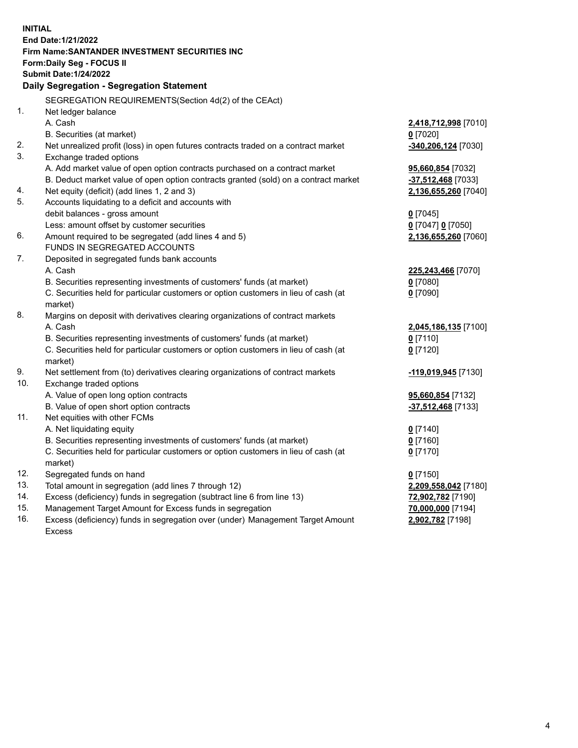| <b>INITIAL</b>                            |                                                                                     |                       |  |  |  |
|-------------------------------------------|-------------------------------------------------------------------------------------|-----------------------|--|--|--|
|                                           | End Date: 1/21/2022                                                                 |                       |  |  |  |
|                                           | <b>Firm Name: SANTANDER INVESTMENT SECURITIES INC</b>                               |                       |  |  |  |
|                                           | Form: Daily Seg - FOCUS II                                                          |                       |  |  |  |
|                                           | <b>Submit Date: 1/24/2022</b>                                                       |                       |  |  |  |
| Daily Segregation - Segregation Statement |                                                                                     |                       |  |  |  |
|                                           | SEGREGATION REQUIREMENTS(Section 4d(2) of the CEAct)                                |                       |  |  |  |
| 1.                                        | Net ledger balance                                                                  |                       |  |  |  |
|                                           | A. Cash                                                                             | 2,418,712,998 [7010]  |  |  |  |
|                                           | B. Securities (at market)                                                           | $0$ [7020]            |  |  |  |
| 2.                                        | Net unrealized profit (loss) in open futures contracts traded on a contract market  | $-340,206,124$ [7030] |  |  |  |
| 3.                                        | Exchange traded options                                                             |                       |  |  |  |
|                                           | A. Add market value of open option contracts purchased on a contract market         | 95,660,854 [7032]     |  |  |  |
|                                           | B. Deduct market value of open option contracts granted (sold) on a contract market | -37,512,468 [7033]    |  |  |  |
| 4.                                        | Net equity (deficit) (add lines 1, 2 and 3)                                         | 2,136,655,260 [7040]  |  |  |  |
| 5.                                        | Accounts liquidating to a deficit and accounts with                                 |                       |  |  |  |
|                                           | debit balances - gross amount                                                       | $0$ [7045]            |  |  |  |
|                                           | Less: amount offset by customer securities                                          | 0 [7047] 0 [7050]     |  |  |  |
| 6.                                        | Amount required to be segregated (add lines 4 and 5)                                | 2,136,655,260 [7060]  |  |  |  |
|                                           | FUNDS IN SEGREGATED ACCOUNTS                                                        |                       |  |  |  |
| 7.                                        | Deposited in segregated funds bank accounts                                         |                       |  |  |  |
|                                           | A. Cash                                                                             | 225,243,466 [7070]    |  |  |  |
|                                           | B. Securities representing investments of customers' funds (at market)              | $0$ [7080]            |  |  |  |
|                                           | C. Securities held for particular customers or option customers in lieu of cash (at | $0$ [7090]            |  |  |  |
|                                           | market)                                                                             |                       |  |  |  |
| 8.                                        | Margins on deposit with derivatives clearing organizations of contract markets      |                       |  |  |  |
|                                           | A. Cash                                                                             | 2,045,186,135 [7100]  |  |  |  |
|                                           | B. Securities representing investments of customers' funds (at market)              | $0$ [7110]            |  |  |  |
|                                           | C. Securities held for particular customers or option customers in lieu of cash (at | $0$ [7120]            |  |  |  |
| 9.                                        | market)                                                                             |                       |  |  |  |
| 10.                                       | Net settlement from (to) derivatives clearing organizations of contract markets     | -119,019,945 [7130]   |  |  |  |
|                                           | Exchange traded options<br>A. Value of open long option contracts                   | 95,660,854 [7132]     |  |  |  |
|                                           | B. Value of open short option contracts                                             | -37,512,468 [7133]    |  |  |  |
| 11.                                       | Net equities with other FCMs                                                        |                       |  |  |  |
|                                           | A. Net liquidating equity                                                           | $0$ [7140]            |  |  |  |
|                                           | B. Securities representing investments of customers' funds (at market)              | $0$ [7160]            |  |  |  |
|                                           | C. Securities held for particular customers or option customers in lieu of cash (at | $0$ [7170]            |  |  |  |
|                                           | market)                                                                             |                       |  |  |  |
| 12.                                       | Segregated funds on hand                                                            | $0$ [7150]            |  |  |  |
| 13.                                       | Total amount in segregation (add lines 7 through 12)                                | 2,209,558,042 [7180]  |  |  |  |
| 14.                                       | Excess (deficiency) funds in segregation (subtract line 6 from line 13)             | 72,902,782 [7190]     |  |  |  |
| 15.                                       | Management Target Amount for Excess funds in segregation                            | 70,000,000 [7194]     |  |  |  |
| 16.                                       | Excess (deficiency) funds in segregation over (under) Management Target Amount      | 2,902,782 [7198]      |  |  |  |
|                                           | <b>Excess</b>                                                                       |                       |  |  |  |